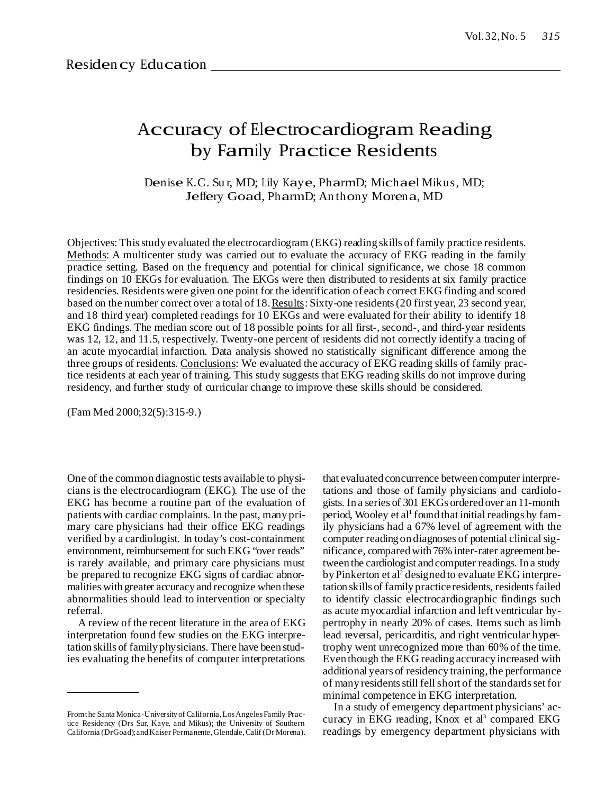# Accuracy of Electrocardiogram Reading by Family Practice Residents

Denise K.C. Su r, MD; Lily Kaye, PharmD; Michael Mikus, MD; Jeffery Goad, PharmD; An thony Morena, MD

Objectives: Thisstudy evaluated the electrocardiogram (EKG) reading skills of family practice residents. Methods: A multicenter study was carried out to evaluate the accuracy of EKG reading in the family practice setting. Based on the frequency and potential for clinical significance, we chose 18 common findings on 10 EKGs for evaluation. The EKGs were then distributed to residents at six family practice residencies. Residents were given one point for the identification of each correct EKG finding and scored based on the number correct over a total of 18. Results: Sixty-one residents (20 first year, 23 second year, and 18 third year) completed readings for 10 EKGs and were evaluated for their ability to identify 18 EKG findings. The median score out of 18 possible points for all first-, second-, and third-year residents was 12, 12, and 11.5, respectively. Twenty-one percent of residents did not correctly identify a tracing of an acute myocardial infarction. Data analysis showed no statistically significant difference among the three groups of residents. Conclusions: We evaluated the accuracy of EKG reading skills of family practice residents at each year of training. This study suggests that EKG reading skills do not improve during residency, and further study of curricular change to improve these skills should be considered.

(Fam Med 2000;32(5):315-9.)

One of the common diagnostic tests available to physicians is the electrocardiogram (EKG). The use of the EKG has become a routine part of the evaluation of patients with cardiac complaints. In the past, many primary care physicians had their office EKG readings verified by a cardiologist. In today's cost-containment environment, reimbursement for such EKG "over reads" is rarely available, and primary care physicians must be prepared to recognize EKG signs of cardiac abnormalities with greater accuracy and recognize when these abnormalities should lead to intervention or specialty referral.

A review of the recent literature in the area of EKG interpretation found few studies on the EKG interpretation skills of family physicians. There have been studies evaluating the benefits of computer interpretations

that evaluated concurrence between computer interpretations and those of family physicians and cardiologists. In a series of 301 EKGs ordered over an 11-month period, Wooley et al<sup>1</sup> found that initial readings by family physicians had a 67% level of agreement with the computer reading on diagnoses of potential clinical significance, comparedwith 76% inter-rater agreement between the cardiologist and computer readings. In a study byPinkerton et al <sup>2</sup> designed to evaluate EKG interpretation skills of family practiceresidents, residentsfailed to identify classic electrocardiographic findings such as acute myocardial infarction and left ventricular hypertrophy in nearly 20% of cases. Items such as limb lead reversal, pericarditis, and right ventricular hypertrophy went unrecognized more than 60% of the time. Even though the EKG reading accuracy increased with additional years of residency training, the performance of many residents still fell short of the standards set for minimal competence in EKG interpretation.

In a study of emergency department physicians' accuracy in EKG reading, Knox et al 3 compared EKG readings by emergency department physicians with

Fromthe Santa Monica-Universityof California,LosAngelesFamily Practice Residency (Drs Sur, Kaye, and Mikus); the University of Southern California (DrGoad);andKaiser Permanente,Glendale,Calif (Dr Morena).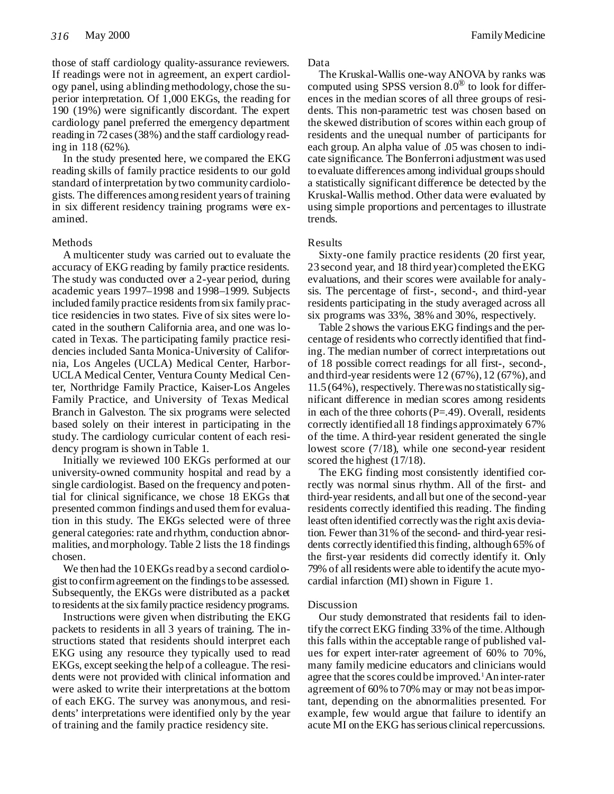those of staff cardiology quality-assurance reviewers. If readings were not in agreement, an expert cardiology panel, using ablindingmethodology, chose the superior interpretation. Of 1,000 EKGs, the reading for 190 (19%) were significantly discordant. The expert cardiology panel preferred the emergency department reading in 72 cases(38%) and the staff cardiology reading in 118 (62%).

In the study presented here, we compared the EKG reading skills of family practice residents to our gold standard ofinterpretation by two community cardiologists. The differences among resident years of training in six different residency training programs were examined.

## Methods

A multicenter study was carried out to evaluate the accuracy of EKG reading by family practice residents. The study was conducted over a 2-year period, during academic years 1997–1998 and 1998–1999. Subjects included family practice residents from six family practice residencies in two states. Five of six sites were located in the southern California area, and one was located in Texas. The participating family practice residencies included Santa Monica-University of California, Los Angeles (UCLA) Medical Center, Harbor-UCLA Medical Center, Ventura County Medical Center, Northridge Family Practice, Kaiser-Los Angeles Family Practice, and University of Texas Medical Branch in Galveston. The six programs were selected based solely on their interest in participating in the study. The cardiology curricular content of each residency program is shown inTable 1.

Initially we reviewed 100 EKGs performed at our university-owned community hospital and read by a single cardiologist. Based on the frequency and potential for clinical significance, we chose 18 EKGs that presented common findings and used themfor evaluation in this study. The EKGs selected were of three general categories: rate and rhythm, conduction abnormalities, andmorphology. Table 2 lists the 18 findings chosen.

We then had the 10 EKGs read by a second cardiologist to confirmagreement on the findingsto be assessed. Subsequently, the EKGs were distributed as a packet to residents at the six family practice residency programs.

Instructions were given when distributing the EKG packets to residents in all 3 years of training. The instructions stated that residents should interpret each EKG using any resource they typically used to read EKGs, except seeking the help of a colleague. The residents were not provided with clinical information and were asked to write their interpretations at the bottom of each EKG. The survey was anonymous, and residents' interpretations were identified only by the year of training and the family practice residency site.

#### Data

The Kruskal-Wallis one-wayANOVA by ranks was computed using SPSS version  $8.0^\circledast$  to look for differences in the median scores of all three groups of residents. This non-parametric test was chosen based on the skewed distribution of scores within each group of residents and the unequal number of participants for each group. An alpha value of .05 was chosen to indicate significance. The Bonferroni adjustment was used to evaluate differences among individual groups should a statistically significant difference be detected by the Kruskal-Wallis method. Other data were evaluated by using simple proportions and percentages to illustrate trends.

## Results

Sixty-one family practice residents (20 first year, 23 second year, and 18 third year) completed theEKG evaluations, and their scores were available for analysis. The percentage of first-, second-, and third-year residents participating in the study averaged across all six programs was 33%, 38% and 30%, respectively.

Table 2 shows the various EKG findings and the percentage of residents who correctly identified that finding. The median number of correct interpretations out of 18 possible correct readings for all first-, second-, and third-year residents were 12 (67%),12 (67%), and 11.5 (64%), respectively. Therewas no statistically significant difference in median scores among residents in each of the three cohorts  $(P=.49)$ . Overall, residents correctly identified all 18 findings approximately 67% of the time. A third-year resident generated the single lowest score (7/18), while one second-year resident scored the highest  $(17/18)$ .

The EKG finding most consistently identified correctly was normal sinus rhythm. All of the first- and third-year residents, and all but one of the second-year residents correctly identified this reading. The finding least often identified correctlywasthe right axis deviation. Fewer than 31% of the second- and third-year residents correctly identified this finding, although 65% of the first-year residents did correctly identify it. Only 79% of all residents were able to identify the acute myocardial infarction (MI) shown in Figure 1.

## Discussion

Our study demonstrated that residents fail to identify the correct EKG finding 33% of the time.Although this falls within the acceptable range of published values for expert inter-rater agreement of 60% to 70%, many family medicine educators and clinicians would agree that the scores could be improved. <sup>1</sup>An inter-rater agreement of 60% to 70% may or may not beasimportant, depending on the abnormalities presented. For example, few would argue that failure to identify an acute MI on the EKG has serious clinical repercussions.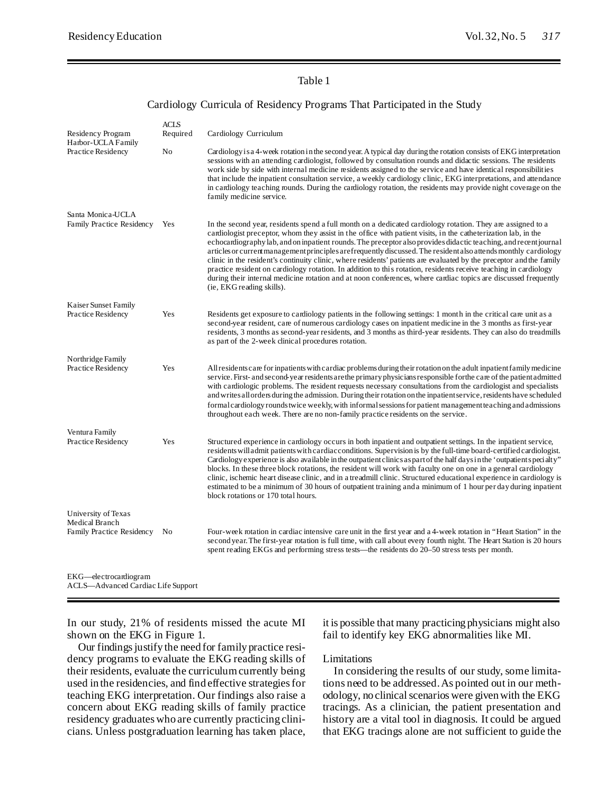# Table 1

## Cardiology Curricula of Residency Programs That Participated in the Study

|                                            | <b>ACLS</b> |                                                                                                                                                                                                                                                                                                                                                                                                                                                                                                                                                                                                                                                                                                                                                                                                                                                                 |
|--------------------------------------------|-------------|-----------------------------------------------------------------------------------------------------------------------------------------------------------------------------------------------------------------------------------------------------------------------------------------------------------------------------------------------------------------------------------------------------------------------------------------------------------------------------------------------------------------------------------------------------------------------------------------------------------------------------------------------------------------------------------------------------------------------------------------------------------------------------------------------------------------------------------------------------------------|
| Residency Program<br>Harbor-UCLA Family    | Required    | Cardiology Curriculum                                                                                                                                                                                                                                                                                                                                                                                                                                                                                                                                                                                                                                                                                                                                                                                                                                           |
| Practice Residency                         | No          | Cardiology is a 4-week rotation in the second year. A typical day during the rotation consists of EKG interpretation<br>sessions with an attending cardiologist, followed by consultation rounds and didactic sessions. The residents<br>work side by side with internal medicine residents assigned to the service and have identical responsibilities<br>that include the inpatient consultation service, a weekly cardiology clinic, EKG interpretations, and attendance<br>in cardiology teaching rounds. During the cardiology rotation, the residents may provide night coverage on the<br>family medicine service.                                                                                                                                                                                                                                       |
| Santa Monica-UCLA                          |             |                                                                                                                                                                                                                                                                                                                                                                                                                                                                                                                                                                                                                                                                                                                                                                                                                                                                 |
| Family Practice Residency                  | Yes         | In the second year, residents spend a full month on a dedicated cardiology rotation. They are assigned to a<br>cardiologist preceptor, whom they assist in the office with patient visits, in the catheterization lab, in the<br>echocardiography lab, and on inpatient rounds. The preceptor also provides didactic teaching, and recent journal<br>articles or current management principles are frequently discussed. The resident also attends monthly cardiology<br>clinic in the resident's continuity clinic, where residents' patients are evaluated by the preceptor and the family<br>practice resident on cardiology rotation. In addition to this rotation, residents receive teaching in cardiology<br>during their internal medicine rotation and at noon conferences, where cardiac topics are discussed frequently<br>(ie, EKG reading skills). |
| Kaiser Sunset Family<br>Practice Residency | Yes         | Residents get exposure to cardiology patients in the following settings: 1 month in the critical care unit as a                                                                                                                                                                                                                                                                                                                                                                                                                                                                                                                                                                                                                                                                                                                                                 |
|                                            |             | second-year resident, care of numerous cardiology cases on inpatient medicine in the 3 months as first-year<br>residents, 3 months as second-year residents, and 3 months as third-year residents. They can also do treadmills<br>as part of the 2-week clinical procedures rotation.                                                                                                                                                                                                                                                                                                                                                                                                                                                                                                                                                                           |
| Northridge Family                          |             |                                                                                                                                                                                                                                                                                                                                                                                                                                                                                                                                                                                                                                                                                                                                                                                                                                                                 |
| Practice Residency                         | Yes         | All residents care for inpatients with cardiac problems during their rotation on the adult inpatient family medicine<br>service. First- and second-year residents are the primary physicians responsible for the care of the patient admitted<br>with cardiologic problems. The resident requests necessary consultations from the cardiologist and specialists<br>and writes all orders during the admission. During their rotation on the inpatient service, residents have scheduled<br>formal cardiology rounds twice weekly, with informal sessions for patient management teaching and admissions<br>throughout each week. There are no non-family practice residents on the service.                                                                                                                                                                     |
| Ventura Family                             |             |                                                                                                                                                                                                                                                                                                                                                                                                                                                                                                                                                                                                                                                                                                                                                                                                                                                                 |
| Practice Residency                         | Yes         | Structured experience in cardiology occurs in both inpatient and outpatient settings. In the inpatient service,<br>residents will admit patients with cardiacconditions. Supervision is by the full-time board-certified cardiologist.<br>Cardiology experience is also available in the outpatient clinics as part of the half days in the 'outpatient specialty"<br>blocks. In these three block rotations, the resident will work with faculty one on one in a general cardiology<br>clinic, ischemic heart disease clinic, and in a treadmill clinic. Structured educational experience in cardiology is<br>estimated to be a minimum of 30 hours of outpatient training and a minimum of 1 hour per day during inpatient<br>block rotations or 170 total hours.                                                                                            |
| University of Texas                        |             |                                                                                                                                                                                                                                                                                                                                                                                                                                                                                                                                                                                                                                                                                                                                                                                                                                                                 |
| Medical Branch                             |             |                                                                                                                                                                                                                                                                                                                                                                                                                                                                                                                                                                                                                                                                                                                                                                                                                                                                 |
| Family Practice Residency                  | No          | Four-week rotation in cardiac intensive care unit in the first year and a 4-week rotation in "Heart Station" in the<br>second year. The first-year rotation is full time, with call about every fourth night. The Heart Station is 20 hours<br>spent reading EKGs and performing stress tests—the residents do 20–50 stress tests per month.                                                                                                                                                                                                                                                                                                                                                                                                                                                                                                                    |
| EKG—electrocardiogram                      |             |                                                                                                                                                                                                                                                                                                                                                                                                                                                                                                                                                                                                                                                                                                                                                                                                                                                                 |

ACLS—Advanced Cardiac Life Support

In our study, 21% of residents missed the acute MI shown on the EKG in Figure 1.

Our findings justify the need for family practice residency programs to evaluate the EKG reading skills of their residents, evaluate the curriculum currently being used in the residencies, and find effective strategies for teaching EKG interpretation. Our findings also raise a concern about EKG reading skills of family practice residency graduates who are currently practicing clinicians. Unless postgraduation learning has taken place, it is possible that many practicing physicians might also fail to identify key EKG abnormalities like MI.

#### Limitations

In considering the results of our study, some limitations need to be addressed.As pointed out in our methodology, no clinical scenarios were given with the EKG tracings. As a clinician, the patient presentation and history are a vital tool in diagnosis. It could be argued that EKG tracings alone are not sufficient to guide the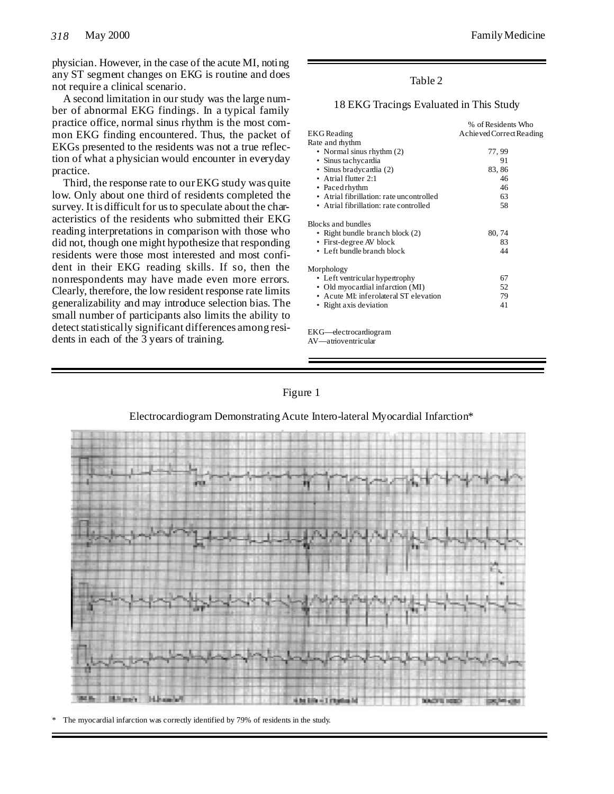physician. However, in the case of the acute MI, noting any ST segment changes on EKG is routine and does not require a clinical scenario.

A second limitation in our study was the large number of abnormal EKG findings. In a typical family practice office, normal sinus rhythm is the most common EKG finding encountered. Thus, the packet of EKGs presented to the residents was not a true reflection of what a physician would encounter in everyday practice.

Third, the response rate to ourEKG study was quite low. Only about one third of residents completed the survey. It is difficult for us to speculate about the characteristics of the residents who submitted their EKG reading interpretations in comparison with those who did not, though one might hypothesize that responding residents were those most interested and most confident in their EKG reading skills. If so, then the nonrespondents may have made even more errors. Clearly, therefore, the low resident response rate limits generalizability and may introduce selection bias. The small number of participants also limits the ability to detect statistically significant differences among residents in each of the 3 years of training.

# Table 2

# 18 EKG Tracings Evaluated in This Study

|                                          | % of Residents Who       |
|------------------------------------------|--------------------------|
| EKG Reading                              | Achieved Correct Reading |
| Rate and rhythm                          |                          |
| • Normal sinus rhythm (2)                | 77, 99                   |
| • Sinus tachycardia                      | 91                       |
| • Sinus bradycardia (2)                  | 83, 86                   |
| • Atrial flutter 2:1                     | 46                       |
| • Pacedrhythm                            | 46                       |
| • Atrial fibrillation: rate uncontrolled | 63                       |
| • Atrial fibrillation: rate controlled   | 58                       |
| Blocks and bundles                       |                          |
| • Right bundle branch block (2)          | 80, 74                   |
| • First-degree AV block                  | 83                       |
| • Left bundle branch block               | 44                       |
| Morphology                               |                          |
| • Left ventricular hypertrophy           | 67                       |
| • Old myocardial infarction (MI)         | 52                       |
| • Acute MI: inferolateral ST elevation   | 79                       |
| • Right axis deviation                   | 41                       |
|                                          |                          |

EKG—electrocardiogram AV—atrioventricular



# Electrocardiogram Demonstrating Acute Intero-lateral Myocardial Infarction\*



The myocardial infarction was correctly identified by 79% of residents in the study.